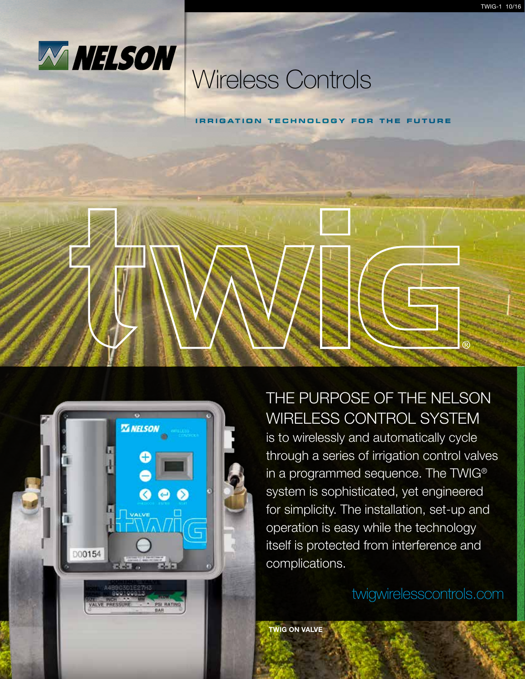

## Wireless Controls

**Irr i gat i on technology for the future**





### THE PURPOSE OF THE NELSON WIRELESS CONTROL SYSTEM

is to wirelessly and automatically cycle through a series of irrigation control valves in a programmed sequence. The TWIG® system is sophisticated, yet engineered for simplicity. The installation, set-up and operation is easy while the technology itself is protected from interference and complications.

twigwirelesscontrols.com

TWIG ON VALVE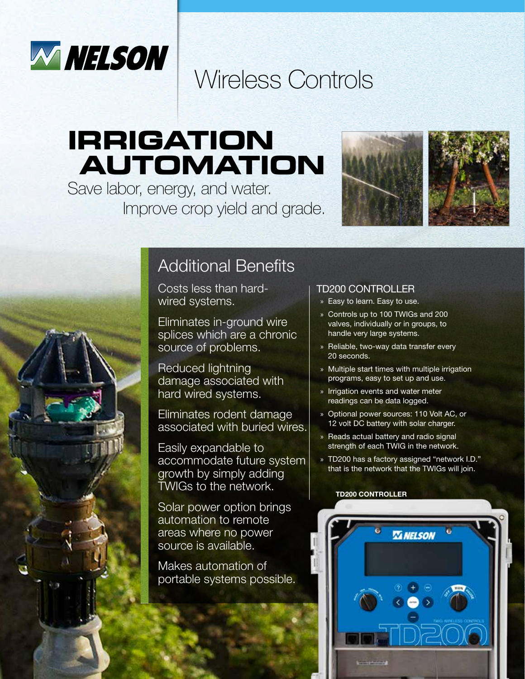

# Wireless Controls

# **irrigation automation**

Save labor, energy, and water. Improve crop yield and grade.



## Additional Benefits

Costs less than hardwired systems.

Eliminates in-ground wire splices which are a chronic source of problems.

Reduced lightning damage associated with hard wired systems.

Eliminates rodent damage associated with buried wires.

Easily expandable to accommodate future system growth by simply adding TWIGs to the network.

Solar power option brings automation to remote areas where no power source is available.

Makes automation of portable systems possible.

#### TD200 CONTROLLER

- » Easy to learn. Easy to use.
- » Controls up to 100 TWIGs and 200 valves, individually or in groups, to handle very large systems.
- » Reliable, two-way data transfer every 20 seconds.
- » Multiple start times with multiple irrigation programs, easy to set up and use.
- » Irrigation events and water meter readings can be data logged.
- » Optional power sources: 110 Volt AC, or 12 volt DC battery with solar charger.
- » Reads actual battery and radio signal strength of each TWIG in the network.
- » TD200 has a factory assigned "network I.D." that is the network that the TWIGs will join.

#### TD200 CONTROLLER

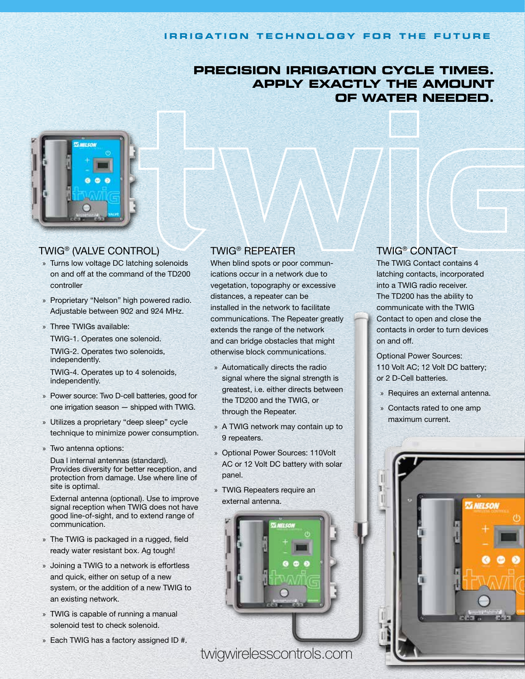#### **Irr i gat i on technology for the future**

### **PrecisION irrigation cycle times. Apply exactly the amount of water needed.**



#### TWIG® (VALVE CONTROL)

- » Turns low voltage DC latching solenoids on and off at the command of the TD200 controller
- » Proprietary "Nelson" high powered radio. Adjustable between 902 and 924 MHz.
- » Three TWIGs available:

TWIG-1. Operates one solenoid.

TWIG-2. Operates two solenoids, independently.

TWIG-4. Operates up to 4 solenoids, independently.

- » Power source: Two D-cell batteries, good for one irrigation season — shipped with TWIG.
- » Utilizes a proprietary "deep sleep" cycle technique to minimize power consumption.
- » Two antenna options:

Dua l internal antennas (standard). Provides diversity for better reception, and protection from damage. Use where line of site is optimal.

External antenna (optional). Use to improve signal reception when TWIG does not have good line-of-sight, and to extend range of communication.

- » The TWIG is packaged in a rugged, field ready water resistant box. Ag tough!
- » Joining a TWIG to a network is effortless and quick, either on setup of a new system, or the addition of a new TWIG to an existing network.
- » TWIG is capable of running a manual solenoid test to check solenoid.
- » Each TWIG has a factory assigned ID #.

### TWIG® REPEATER

When blind spots or poor communications occur in a network due to vegetation, topography or excessive distances, a repeater can be installed in the network to facilitate communications. The Repeater greatly extends the range of the network and can bridge obstacles that might otherwise block communications.

- » Automatically directs the radio signal where the signal strength is greatest, i.e. either directs between the TD200 and the TWIG, or through the Repeater.
- » A TWIG network may contain up to 9 repeaters.
- » Optional Power Sources: 110Volt AC or 12 Volt DC battery with solar panel.
- » TWIG Repeaters require an external antenna.



twigwirelesscontrols.com

#### TWIG® CONTACT

The TWIG Contact contains 4 latching contacts, incorporated into a TWIG radio receiver. The TD200 has the ability to communicate with the TWIG Contact to open and close the contacts in order to turn devices on and off.

Optional Power Sources: 110 Volt AC; 12 Volt DC battery; or 2 D-Cell batteries.

- » Requires an external antenna.
- » Contacts rated to one amp maximum current.